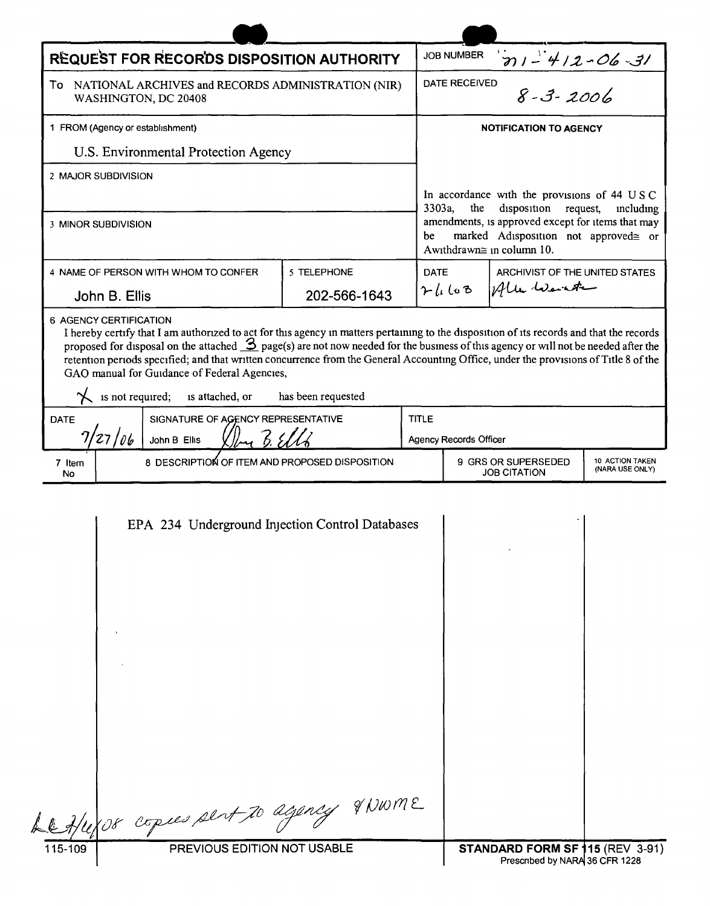| REQUEST FOR RECORDS DISPOSITION AUTHORITY                                                                                                                                                                                                                                                                                                                                                                                                                                                                                                                                        |              |              | <b>JOB NUMBER</b>                                                                                                            |              |                                    |  |
|----------------------------------------------------------------------------------------------------------------------------------------------------------------------------------------------------------------------------------------------------------------------------------------------------------------------------------------------------------------------------------------------------------------------------------------------------------------------------------------------------------------------------------------------------------------------------------|--------------|--------------|------------------------------------------------------------------------------------------------------------------------------|--------------|------------------------------------|--|
| To NATIONAL ARCHIVES and RECORDS ADMINISTRATION (NIR)<br>WASHINGTON, DC 20408                                                                                                                                                                                                                                                                                                                                                                                                                                                                                                    |              |              | $\frac{91-412-06-31}{8-3-2006}$<br><b>DATE RECEIVED</b>                                                                      |              |                                    |  |
| 1 FROM (Agency or establishment)                                                                                                                                                                                                                                                                                                                                                                                                                                                                                                                                                 |              |              | <b>NOTIFICATION TO AGENCY</b>                                                                                                |              |                                    |  |
| U.S. Environmental Protection Agency                                                                                                                                                                                                                                                                                                                                                                                                                                                                                                                                             |              |              |                                                                                                                              |              |                                    |  |
| 2 MAJOR SUBDIVISION                                                                                                                                                                                                                                                                                                                                                                                                                                                                                                                                                              |              |              |                                                                                                                              |              |                                    |  |
|                                                                                                                                                                                                                                                                                                                                                                                                                                                                                                                                                                                  |              |              | In accordance with the provisions of 44 USC<br>disposition request,<br>3303a,<br>the<br>mcluding                             |              |                                    |  |
| 3 MINOR SUBDIVISION                                                                                                                                                                                                                                                                                                                                                                                                                                                                                                                                                              |              |              | amendments, is approved except for items that may<br>marked Adisposition not approved≅ or<br>be<br>Awithdrawn≅ in column 10. |              |                                    |  |
| 4 NAME OF PERSON WITH WHOM TO CONFER                                                                                                                                                                                                                                                                                                                                                                                                                                                                                                                                             | 5 TELEPHONE  | <b>DATE</b>  |                                                                                                                              |              | ARCHIVIST OF THE UNITED STATES     |  |
| John B. Ellis                                                                                                                                                                                                                                                                                                                                                                                                                                                                                                                                                                    | 202-566-1643 |              | 71168                                                                                                                        | often warnte |                                    |  |
| 6 AGENCY CERTIFICATION<br>I hereby certify that I am authorized to act for this agency in matters pertaining to the disposition of its records and that the records<br>proposed for disposal on the attached $\mathcal{S}_{\text{page(s)}}$ are not now needed for the business of this agency or will not be needed after the<br>retention periods specified; and that written concurrence from the General Accounting Office, under the provisions of Title 8 of the<br>GAO manual for Guidance of Federal Agencies,<br>is not required; is attached, or<br>has been requested |              |              |                                                                                                                              |              |                                    |  |
| SIGNATURE OF AGENCY REPRESENTATIVE<br><b>DATE</b>                                                                                                                                                                                                                                                                                                                                                                                                                                                                                                                                |              | <b>TITLE</b> |                                                                                                                              |              |                                    |  |
| 27/06<br>John B Ellis                                                                                                                                                                                                                                                                                                                                                                                                                                                                                                                                                            |              |              | <b>Agency Records Officer</b>                                                                                                |              |                                    |  |
| 8 DESCRIPTION OF ITEM AND PROPOSED DISPOSITION<br>7 Item<br>No                                                                                                                                                                                                                                                                                                                                                                                                                                                                                                                   |              |              | 9 GRS OR SUPERSEDED<br><b>JOB CITATION</b>                                                                                   |              | 10 ACTION TAKEN<br>(NARA USE ONLY) |  |
| EPA 234 Underground Injection Control Databases                                                                                                                                                                                                                                                                                                                                                                                                                                                                                                                                  |              |              |                                                                                                                              |              |                                    |  |

 $115 - 109$ 

PREVIOUS EDITION NOT USABLE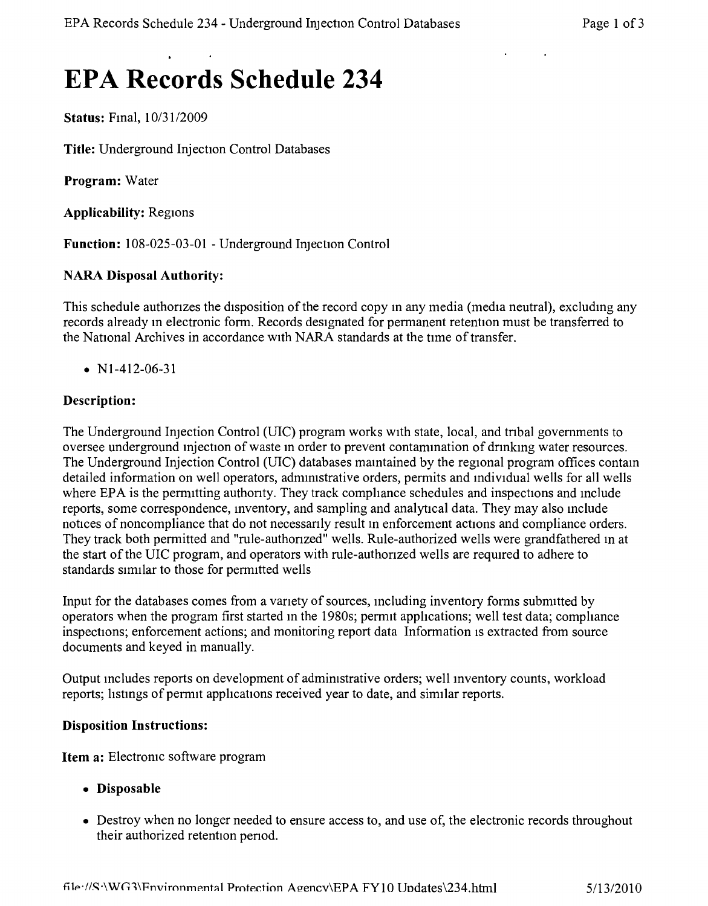# **EPA Records Schedule 234**

**Status:** Final,  $10/31/2009$ 

**Title:** Underground Injection Control Databases

**Program:** Water

**Applicability:** Regions

**Function: 108-025-03-01 -** Underground Injection Control

#### **NARA Disposal Authority:**

This schedule authorizes the disposition of the record copy in any media (media neutral), excluding any records already m electronic form. Records designated for permanent retention must be transferred to the National Archives in accordance with NARA standards at the time of transfer.

•  $N1-412-06-31$ 

#### **Description:**

The Underground Injection Control (UIC) program works WIth state, local, and tnbal governments to oversee underground injection of waste in order to prevent contamination of drinking water resources. The Underground Injection Control (UIC) databases mamtained by the regional program offices contam detailed information on well operators, adnurnstrative orders, permits and individual wells for all wells where EPA is the permitting authority. They track compliance schedules and inspections and include reports, some correspondence, mventory, and sampling and analytical data. They may also mclude notices of noncompliance that do not necessanly result in enforcement actions and compliance orders. They track both permitted and "rule-authonzed" wells. Rule-authorized wells were grandfathered in at the start of the UIC program, and operators with rule-authonzed wells are required to adhere to standards similar to those for permitted wells

Input for the databases comes from a vanety of sources, mcluding inventory forms submitted by operators when the program first started in the 1980s; permit apphcations; well test data; cornphance inspections; enforcement actions; and monitoring report data Information is extracted from source documents and keyed in manually.

Output mcludes reports on development of administrative orders; well mventory counts, workload reports; hstmgs of permit applications received year to date, and similar reports.

#### **Disposition Instructions:**

**Item a:** Electromc software program

- **• Disposable**
- Destroy when no longer needed to ensure access to, and use of, the electronic records throughout their authorized retention penod.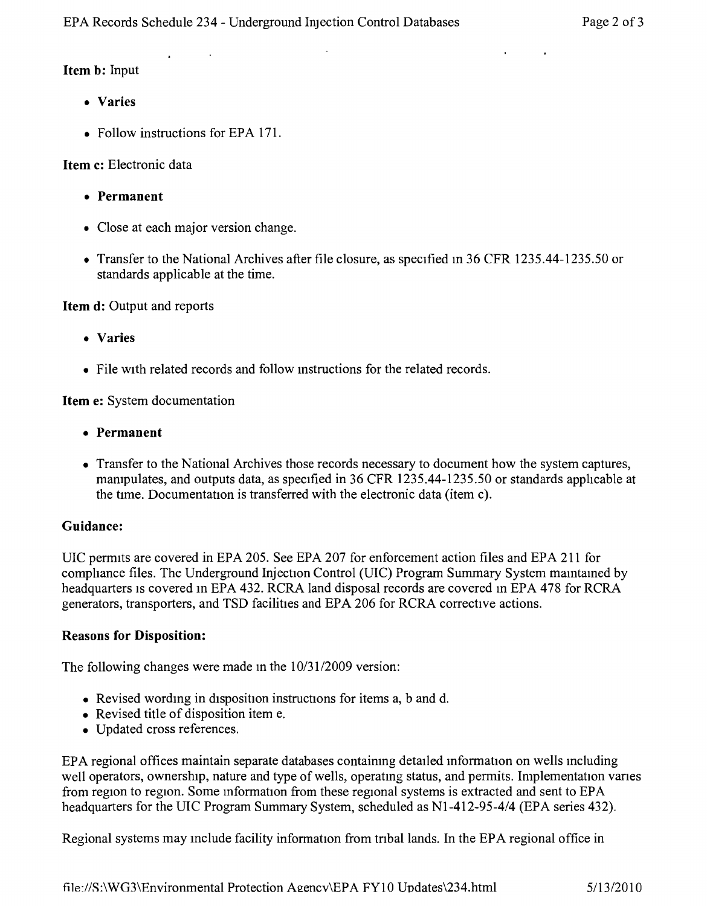#### **Item b:** Input

- **• Varies**
- Follow instructions for EPA 171.

## **Item c:** Electronic data

- **• Permanent**
- Close at each major version change.
- Transfer to the National Archives after file closure, as specified in 36 CFR 1235.44-1235.50 or standards applicable at the time.

**Item d:** Output and reports

- **• Varies**
- File with related records and follow instructions for the related records.

**Item e:** System documentation

- **• Permanent**
- Transfer to the National Archives those records necessary to document how the system captures, manipulates, and outputs data, as specified in 36 CFR 1235.44-1235.50 or standards applicable at the time. Documentation is transferred with the electronic data (item c).

## **Guidance:**

UIC permits are covered in EPA 205. See EPA 207 for enforcement action files and EPA 211 for cornphance files. The Underground Injection Control (VIC) Program Summary System mamtamed by headquarters is covered in EPA 432. RCRA land disposal records are covered in EPA 478 for RCRA generators, transporters, and TSD facilities and EPA 206 for RCRA corrective actions.

## **Reasons for Disposition:**

The following changes were made m the *10/3112009* version:

- Revised wording in disposition instructions for items a, b and d.
- Revised title of disposition item e.
- • Updated cross references.

EPA regional offices maintain separate databases containmg detailed information on wells mcluding well operators, ownership, nature and type of wells, operatmg status, and permits. Implementation vanes from region to region, Some mformation from these regional systems is extracted and sent to EPA headquarters for the VIC Program Summary System, scheduled as *Nl-412-95-4/4* (EPA series 432).

Regional systems may include facility information from tribal lands. In the EPA regional office in

file://S:\WG3\Environmental Protection Agency\EPA FY10 Updates\234.html 5/13/2010